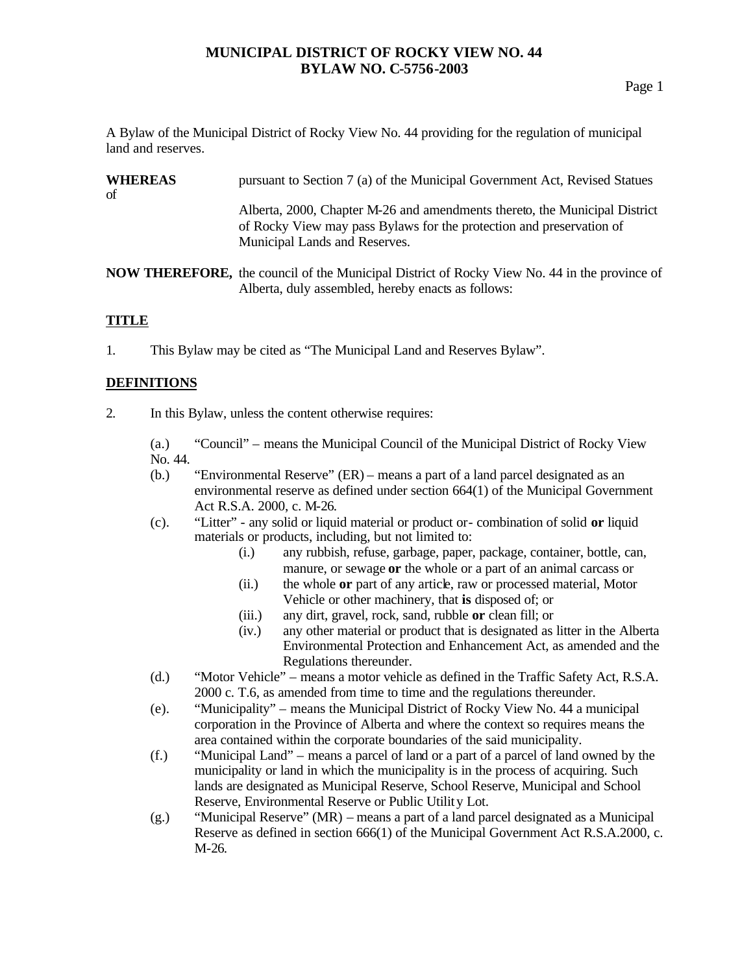A Bylaw of the Municipal District of Rocky View No. 44 providing for the regulation of municipal land and reserves.

| <b>WHEREAS</b><br>of | pursuant to Section 7 (a) of the Municipal Government Act, Revised Statues                                                                                                          |
|----------------------|-------------------------------------------------------------------------------------------------------------------------------------------------------------------------------------|
|                      | Alberta, 2000, Chapter M-26 and amendments thereto, the Municipal District<br>of Rocky View may pass Bylaws for the protection and preservation of<br>Municipal Lands and Reserves. |
|                      | <b>NOW THEREFORE,</b> the council of the Municipal District of Rocky View No. 44 in the province of<br>Alberta, duly assembled, hereby enacts as follows:                           |

## **TITLE**

1. This Bylaw may be cited as "The Municipal Land and Reserves Bylaw".

# **DEFINITIONS**

2. In this Bylaw, unless the content otherwise requires:

(a.) "Council" – means the Municipal Council of the Municipal District of Rocky View No. 44.

- (b.) "Environmental Reserve" (ER) means a part of a land parcel designated as an environmental reserve as defined under section 664(1) of the Municipal Government Act R.S.A. 2000, c. M-26.
- (c). "Litter" any solid or liquid material or product or- combination of solid **or** liquid materials or products, including, but not limited to:
	- (i.) any rubbish, refuse, garbage, paper, package, container, bottle, can, manure, or sewage **or** the whole or a part of an animal carcass or
	- (ii.) the whole **or** part of any article, raw or processed material, Motor Vehicle or other machinery, that **is** disposed of; or
	- (iii.) any dirt, gravel, rock, sand, rubble **or** clean fill; or
	- (iv.) any other material or product that is designated as litter in the Alberta Environmental Protection and Enhancement Act, as amended and the Regulations thereunder.
- (d.) "Motor Vehicle" means a motor vehicle as defined in the Traffic Safety Act, R.S.A. 2000 c. T.6, as amended from time to time and the regulations thereunder.
- (e). "Municipality" means the Municipal District of Rocky View No. 44 a municipal corporation in the Province of Alberta and where the context so requires means the area contained within the corporate boundaries of the said municipality.
- (f.) "Municipal Land" means a parcel of land or a part of a parcel of land owned by the municipality or land in which the municipality is in the process of acquiring. Such lands are designated as Municipal Reserve, School Reserve, Municipal and School Reserve, Environmental Reserve or Public Utility Lot.
- (g.) "Municipal Reserve" (MR) means a part of a land parcel designated as a Municipal Reserve as defined in section 666(1) of the Municipal Government Act R.S.A.2000, c. M-26.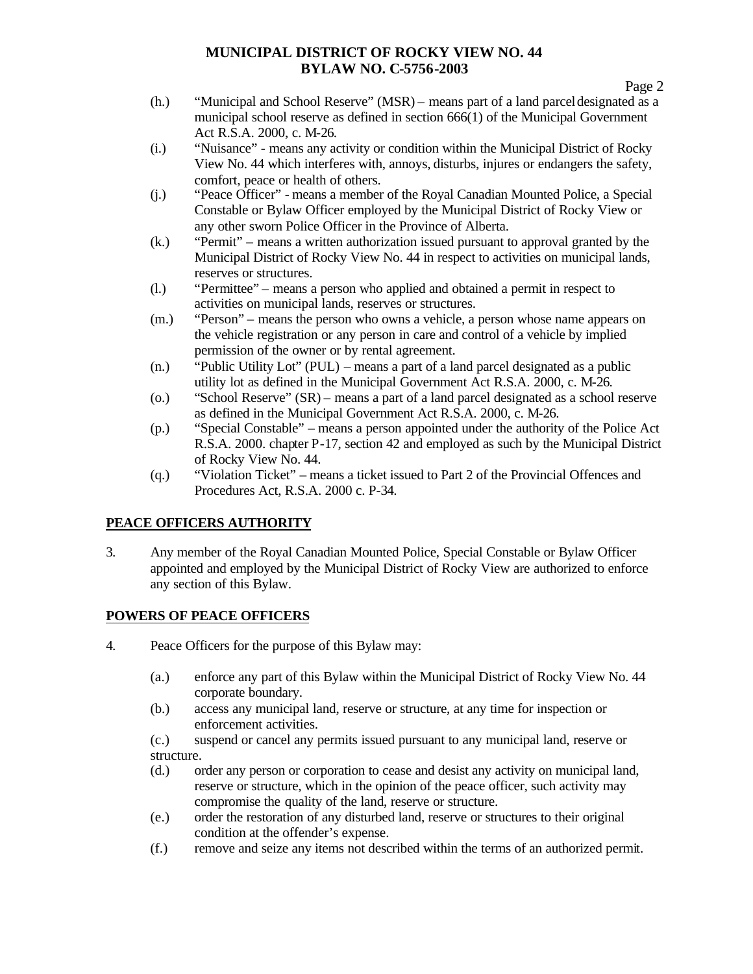- (h.) "Municipal and School Reserve" (MSR) means part of a land parcel designated as a municipal school reserve as defined in section 666(1) of the Municipal Government Act R.S.A. 2000, c. M-26.
- (i.) "Nuisance" means any activity or condition within the Municipal District of Rocky View No. 44 which interferes with, annoys, disturbs, injures or endangers the safety, comfort, peace or health of others.
- (j.) "Peace Officer" means a member of the Royal Canadian Mounted Police, a Special Constable or Bylaw Officer employed by the Municipal District of Rocky View or any other sworn Police Officer in the Province of Alberta.
- (k.) "Permit" means a written authorization issued pursuant to approval granted by the Municipal District of Rocky View No. 44 in respect to activities on municipal lands, reserves or structures.
- (l.) "Permittee" means a person who applied and obtained a permit in respect to activities on municipal lands, reserves or structures.
- (m.) "Person" means the person who owns a vehicle, a person whose name appears on the vehicle registration or any person in care and control of a vehicle by implied permission of the owner or by rental agreement.
- (n.) "Public Utility Lot" (PUL) means a part of a land parcel designated as a public utility lot as defined in the Municipal Government Act R.S.A. 2000, c. M-26.
- (o.) "School Reserve" (SR) means a part of a land parcel designated as a school reserve as defined in the Municipal Government Act R.S.A. 2000, c. M-26.
- (p.) "Special Constable" means a person appointed under the authority of the Police Act R.S.A. 2000. chapter P-17, section 42 and employed as such by the Municipal District of Rocky View No. 44.
- (q.) "Violation Ticket" means a ticket issued to Part 2 of the Provincial Offences and Procedures Act, R.S.A. 2000 c. P-34.

# **PEACE OFFICERS AUTHORITY**

3. Any member of the Royal Canadian Mounted Police, Special Constable or Bylaw Officer appointed and employed by the Municipal District of Rocky View are authorized to enforce any section of this Bylaw.

# **POWERS OF PEACE OFFICERS**

- 4. Peace Officers for the purpose of this Bylaw may:
	- (a.) enforce any part of this Bylaw within the Municipal District of Rocky View No. 44 corporate boundary.
	- (b.) access any municipal land, reserve or structure, at any time for inspection or enforcement activities.
	- (c.) suspend or cancel any permits issued pursuant to any municipal land, reserve or structure.
	- (d.) order any person or corporation to cease and desist any activity on municipal land, reserve or structure, which in the opinion of the peace officer, such activity may compromise the quality of the land, reserve or structure.
	- (e.) order the restoration of any disturbed land, reserve or structures to their original condition at the offender's expense.
	- (f.) remove and seize any items not described within the terms of an authorized permit.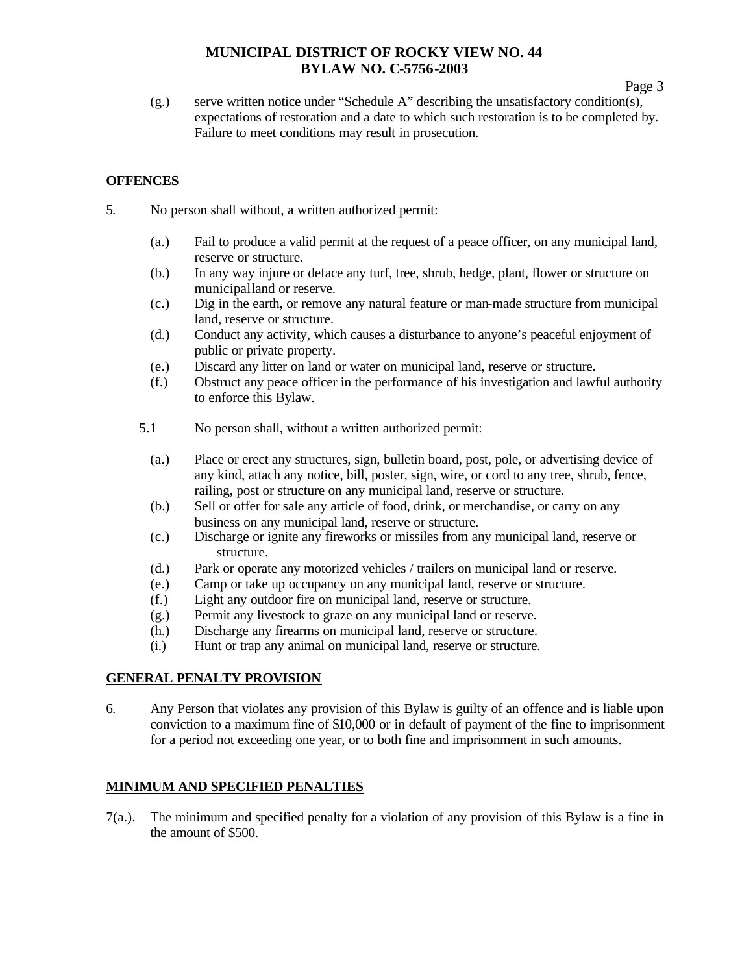(g.) serve written notice under "Schedule A" describing the unsatisfactory condition(s), expectations of restoration and a date to which such restoration is to be completed by. Failure to meet conditions may result in prosecution.

### **OFFENCES**

- 5. No person shall without, a written authorized permit:
	- (a.) Fail to produce a valid permit at the request of a peace officer, on any municipal land, reserve or structure.
	- (b.) In any way injure or deface any turf, tree, shrub, hedge, plant, flower or structure on municipal land or reserve.
	- (c.) Dig in the earth, or remove any natural feature or man-made structure from municipal land, reserve or structure.
	- (d.) Conduct any activity, which causes a disturbance to anyone's peaceful enjoyment of public or private property.
	- (e.) Discard any litter on land or water on municipal land, reserve or structure.
	- (f.) Obstruct any peace officer in the performance of his investigation and lawful authority to enforce this Bylaw.
	- 5.1 No person shall, without a written authorized permit:
		- (a.) Place or erect any structures, sign, bulletin board, post, pole, or advertising device of any kind, attach any notice, bill, poster, sign, wire, or cord to any tree, shrub, fence, railing, post or structure on any municipal land, reserve or structure.
		- (b.) Sell or offer for sale any article of food, drink, or merchandise, or carry on any business on any municipal land, reserve or structure.
		- (c.) Discharge or ignite any fireworks or missiles from any municipal land, reserve or structure.
		- (d.) Park or operate any motorized vehicles / trailers on municipal land or reserve.
		- (e.) Camp or take up occupancy on any municipal land, reserve or structure.
		- (f.) Light any outdoor fire on municipal land, reserve or structure.
		- (g.) Permit any livestock to graze on any municipal land or reserve.
		- (h.) Discharge any firearms on municipal land, reserve or structure.
		- (i.) Hunt or trap any animal on municipal land, reserve or structure.

#### **GENERAL PENALTY PROVISION**

6. Any Person that violates any provision of this Bylaw is guilty of an offence and is liable upon conviction to a maximum fine of \$10,000 or in default of payment of the fine to imprisonment for a period not exceeding one year, or to both fine and imprisonment in such amounts.

#### **MINIMUM AND SPECIFIED PENALTIES**

7(a.). The minimum and specified penalty for a violation of any provision of this Bylaw is a fine in the amount of \$500.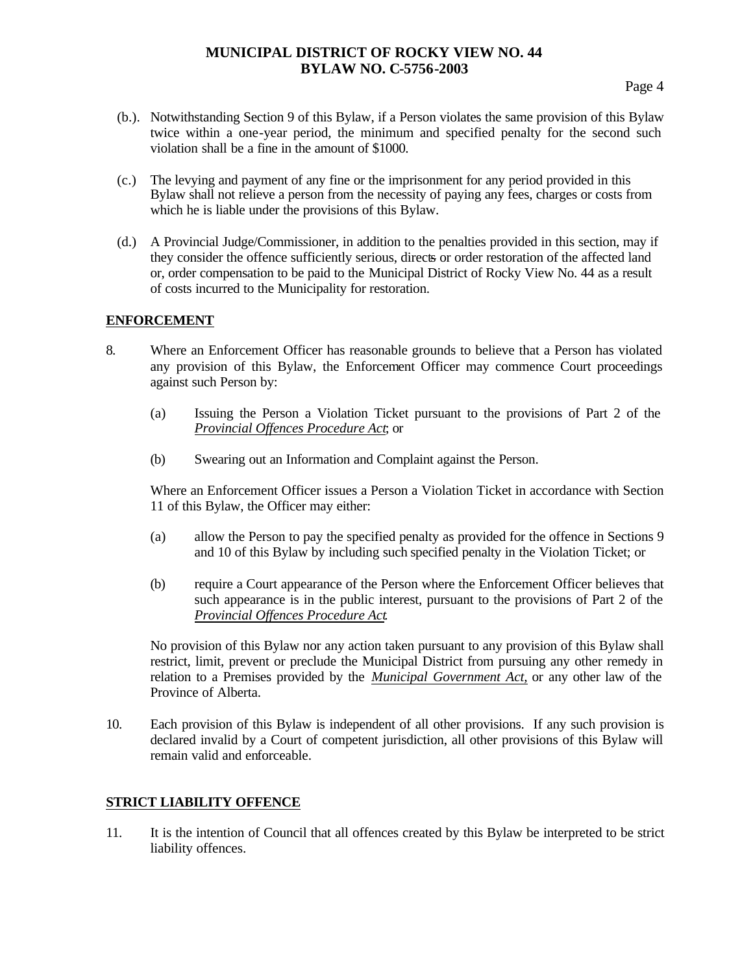- (b.). Notwithstanding Section 9 of this Bylaw, if a Person violates the same provision of this Bylaw twice within a one-year period, the minimum and specified penalty for the second such violation shall be a fine in the amount of \$1000.
- (c.) The levying and payment of any fine or the imprisonment for any period provided in this Bylaw shall not relieve a person from the necessity of paying any fees, charges or costs from which he is liable under the provisions of this Bylaw.
- (d.) A Provincial Judge/Commissioner, in addition to the penalties provided in this section, may if they consider the offence sufficiently serious, directs or order restoration of the affected land or, order compensation to be paid to the Municipal District of Rocky View No. 44 as a result of costs incurred to the Municipality for restoration.

#### **ENFORCEMENT**

- 8. Where an Enforcement Officer has reasonable grounds to believe that a Person has violated any provision of this Bylaw, the Enforcement Officer may commence Court proceedings against such Person by:
	- (a) Issuing the Person a Violation Ticket pursuant to the provisions of Part 2 of the *Provincial Offences Procedure Act*; or
	- (b) Swearing out an Information and Complaint against the Person.

Where an Enforcement Officer issues a Person a Violation Ticket in accordance with Section 11 of this Bylaw, the Officer may either:

- (a) allow the Person to pay the specified penalty as provided for the offence in Sections 9 and 10 of this Bylaw by including such specified penalty in the Violation Ticket; or
- (b) require a Court appearance of the Person where the Enforcement Officer believes that such appearance is in the public interest, pursuant to the provisions of Part 2 of the *Provincial Offences Procedure Act*.

No provision of this Bylaw nor any action taken pursuant to any provision of this Bylaw shall restrict, limit, prevent or preclude the Municipal District from pursuing any other remedy in relation to a Premises provided by the *Municipal Government Act,* or any other law of the Province of Alberta.

10. Each provision of this Bylaw is independent of all other provisions. If any such provision is declared invalid by a Court of competent jurisdiction, all other provisions of this Bylaw will remain valid and enforceable.

### **STRICT LIABILITY OFFENCE**

11. It is the intention of Council that all offences created by this Bylaw be interpreted to be strict liability offences.